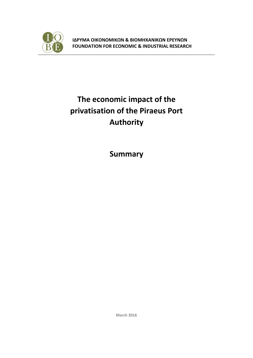

**ΙΔΡΥΜΑ ΟΙΚΟΝΟΜΙΚΩΝ & ΒΙΟΜΗΧΑΝΙΚΩΝ ΕΡΕΥΝΩΝ FOUNDATION FOR ECONOMIC & INDUSTRIAL RESEARCH**

## **The economic impact of the privatisation of the Piraeus Port Authority**

**Summary**

**March 2016**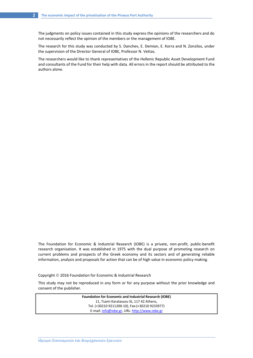The judgments on policy issues contained in this study express the opinions of the researchers and do not necessarily reflect the opinion of the members or the management of IOBE.

The research for this study was conducted by S. Danchev, E. Demian, E. Korra and N. Zonzilos, under the supervision of the Director General of IOBE, Professor N. Vettas.

The researchers would like to thank representatives of the Hellenic Republic Asset Development Fund and consultants of the Fund for their help with data. All errors in the report should be attributed to the authors alone.

The Foundation for Economic & Industrial Research (IOBE) is a private, non-profit, public-benefit research organisation. It was established in 1975 with the dual purpose of promoting research on current problems and prospects of the Greek economy and its sectors and of generating reliable information, analysis and proposals for action that can be of high value in economic policy making.

Copyright 2016 Foundation for Economic & Industrial Research

This study may not be reproduced in any form or for any purpose without the prior knowledge and consent of the publisher.

> **Foundation for Economic and Industrial Research (IOBE)**  11, Tsami Karatassou St, 117 42 Athens, Tel. (+30210 9211200-10), Fax:(+30210 9233977) E-mail[: info@iobe.gr,](mailto:info@iobe.gr) URL: [http://www.iobe.gr](http://www.iobe.gr/)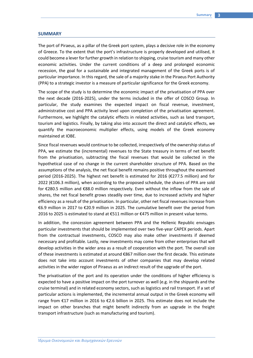## **SUMMARY**

The port of Piraeus, as a pillar of the Greek port system, plays a decisive role in the economy of Greece. To the extent that the port's infrastructure is properly developed and utilised, it could become a lever for further growth in relation to shipping, cruise tourism and many other economic activities. Under the current conditions of a deep and prolonged economic recession, the goal for a sustainable and integrated management of the Greek ports is of particular importance. In this regard, the sale of a majority stake in the Piraeus Port Authority (PPA) to a strategic investor is a measure of particular significance for the Greek economy.

The scope of the study is to determine the economic impact of the privatisation of PPA over the next decade (2016-2025), under the terms included in the offer of COSCO Group. In particular, the study examines the expected impact on fiscal revenue, investment, administrative cost and PPA activity level upon completion of the privatisation agreement. Furthermore, we highlight the catalytic effects in related activities, such as land transport, tourism and logistics. Finally, by taking also into account the direct and catalytic effects, we quantify the macroeconomic multiplier effects, using models of the Greek economy maintained at IOBE.

Since fiscal revenues would continue to be collected, irrespectively of the ownership status of PPA, we estimate the (incremental) revenues to the State treasury in terms of net benefit from the privatisation, subtracting the fiscal revenues that would be collected in the hypothetical case of no change in the current shareholder structure of PPA. Based on the assumptions of the analysis, the net fiscal benefit remains positive throughout the examined period (2016-2025). The highest net benefit is estimated for 2016 (€277.5 million) and for 2022 (€106.3 million), when according to the proposed schedule, the shares of PPA are sold for €280.5 million and €88.0 million respectively. Even without the inflow from the sale of shares, the net fiscal benefit grows steadily over time, due to increased activity and higher efficiency as a result of the privatisation. In particular, other net fiscal revenues increase from €6.9 million in 2017 to €20.9 million in 2025. The cumulative benefit over the period from 2016 to 2025 is estimated to stand at €511 million or €475 million in present value terms.

In addition, the concession agreement between PPA and the Hellenic Republic envisages particular investments that should be implemented over two five-year CAPEX periods. Apart from the contractual investments, COSCO may also make other investments if deemed necessary and profitable. Lastly, new investments may come from other enterprises that will develop activities in the wider area as a result of cooperation with the port. The overall size of these investments is estimated at around €867 million over the first decade. This estimate does not take into account investments of other companies that may develop related activities in the wider region of Piraeus as an indirect result of the upgrade of the port.

The privatisation of the port and its operation under the conditions of higher efficiency is expected to have a positive impact on the port turnover as well (e.g. in the shipyards and the cruise terminal) and in related economy sectors, such as logistics and rail transport. If a set of particular actions is implemented, the incremental annual output in the Greek economy will range from €17 million in 2016 to €2.6 billion in 2025. This estimate does not include the impact on other branches that might benefit indirectly from an upgrade in the freight transport infrastructure (such as manufacturing and tourism).